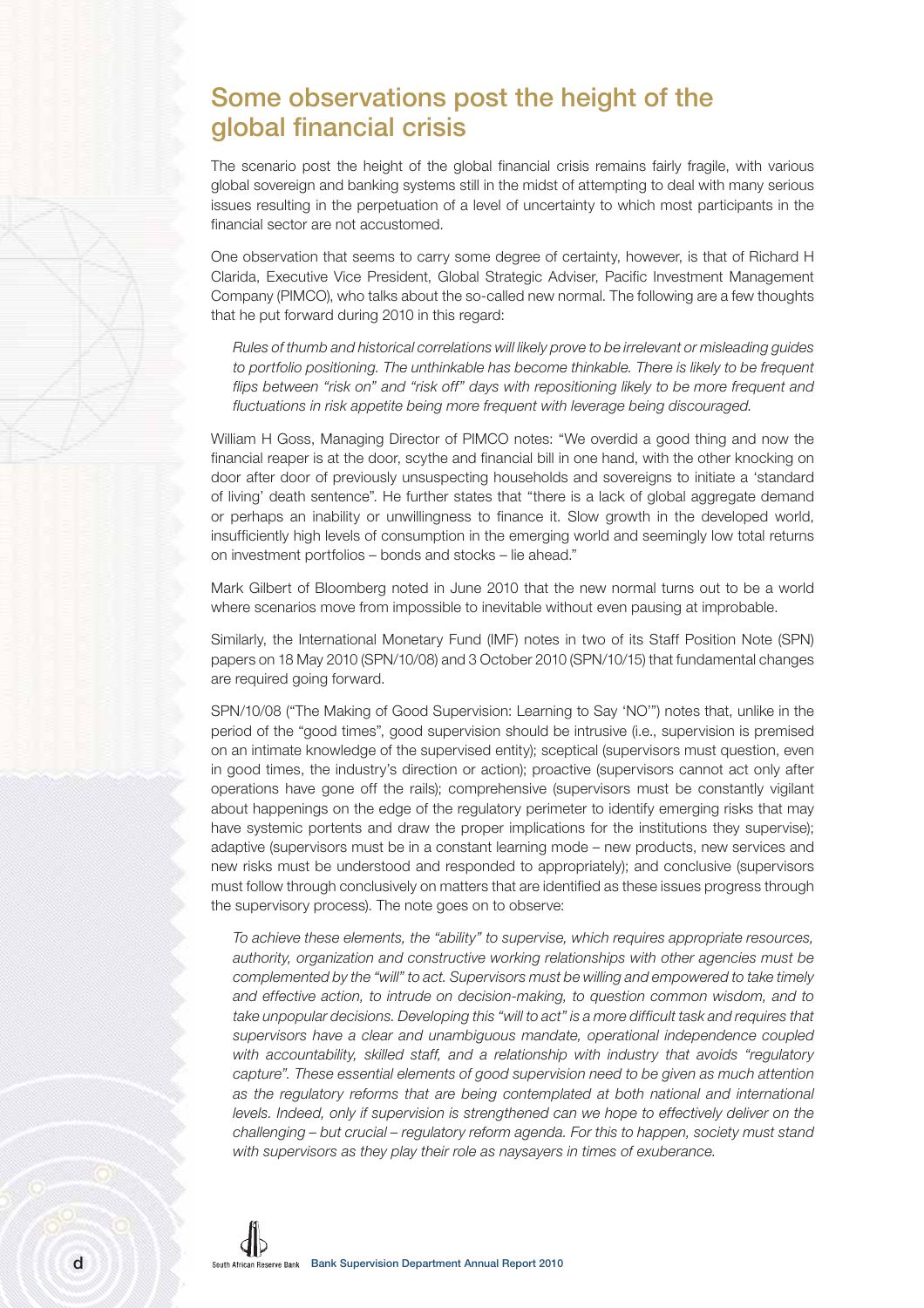## **Some observations post the height of the global financial crisis**

The scenario post the height of the global financial crisis remains fairly fragile, with various global sovereign and banking systems still in the midst of attempting to deal with many serious issues resulting in the perpetuation of a level of uncertainty to which most participants in the financial sector are not accustomed.

One observation that seems to carry some degree of certainty, however, is that of Richard H Clarida, Executive Vice President, Global Strategic Adviser, Pacific Investment Management Company (PIMCO), who talks about the so-called new normal. The following are a few thoughts that he put forward during 2010 in this regard:

Rules of thumb and historical correlations will likely prove to be irrelevant or misleading guides to portfolio positioning. The unthinkable has become thinkable. There is likely to be frequent flips between "risk on" and "risk off" days with repositioning likely to be more frequent and fluctuations in risk appetite being more frequent with leverage being discouraged.

William H Goss, Managing Director of PIMCO notes: "We overdid a good thing and now the financial reaper is at the door, scythe and financial bill in one hand, with the other knocking on door after door of previously unsuspecting households and sovereigns to initiate a 'standard of living' death sentence". He further states that "there is a lack of global aggregate demand or perhaps an inability or unwillingness to finance it. Slow growth in the developed world, insufficiently high levels of consumption in the emerging world and seemingly low total returns on investment portfolios – bonds and stocks – lie ahead."

Mark Gilbert of Bloomberg noted in June 2010 that the new normal turns out to be a world where scenarios move from impossible to inevitable without even pausing at improbable.

Similarly, the International Monetary Fund (IMF) notes in two of its Staff Position Note (SPN) papers on 18 May 2010 (SPN/10/08) and 3 October 2010 (SPN/10/15) that fundamental changes are required going forward.

SPN/10/08 ("The Making of Good Supervision: Learning to Say 'NO'") notes that, unlike in the period of the "good times", good supervision should be intrusive (i.e., supervision is premised on an intimate knowledge of the supervised entity); sceptical (supervisors must question, even in good times, the industry's direction or action); proactive (supervisors cannot act only after operations have gone off the rails); comprehensive (supervisors must be constantly vigilant about happenings on the edge of the regulatory perimeter to identify emerging risks that may have systemic portents and draw the proper implications for the institutions they supervise); adaptive (supervisors must be in a constant learning mode – new products, new services and new risks must be understood and responded to appropriately); and conclusive (supervisors must follow through conclusively on matters that are identified as these issues progress through the supervisory process). The note goes on to observe:

To achieve these elements, the "ability" to supervise, which requires appropriate resources, authority, organization and constructive working relationships with other agencies must be complemented by the "will" to act. Supervisors must be willing and empowered to take timely and effective action, to intrude on decision-making, to question common wisdom, and to take unpopular decisions. Developing this "will to act" is a more difficult task and requires that supervisors have a clear and unambiguous mandate, operational independence coupled with accountability, skilled staff, and a relationship with industry that avoids "regulatory capture". These essential elements of good supervision need to be given as much attention as the regulatory reforms that are being contemplated at both national and international levels. Indeed, only if supervision is strengthened can we hope to effectively deliver on the challenging – but crucial – regulatory reform agenda. For this to happen, society must stand with supervisors as they play their role as nay savers in times of exuberance.